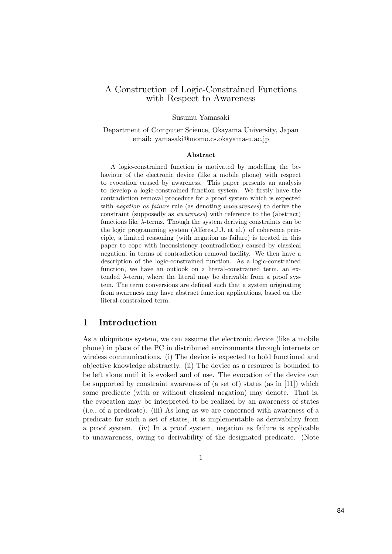### A Construction of Logic-Constrained Functions with Respect to Awareness

#### Susumu Yamasaki

Department of Computer Science, Okayama University, Japan email: yamasaki@momo.cs.okayama-u.ac.jp

#### Abstract

A logic-constrained function is motivated by modelling the behaviour of the electronic device (like a mobile phone) with respect to evocation caused by awareness. This paper presents an analysis to develop a logic-constrained function system. We firstly have the contradiction removal procedure for a proof system which is expected with *negation as failure* rule (as denoting *unawareness*) to derive the constraint (supposedly as awareness) with reference to the (abstract) functions like  $\lambda$ -terms. Though the system deriving constraints can be the logic programming system (Alferes,J.J. et al.) of coherence principle, a limited reasoning (with negation as failure) is treated in this paper to cope with inconsistency (contradiction) caused by classical negation, in terms of contradiction removal facility. We then have a description of the logic-constrained function. As a logic-constrained function, we have an outlook on a literal-constrained term, an extended  $\lambda$ -term, where the literal may be derivable from a proof system. The term conversions are defined such that a system originating from awareness may have abstract function applications, based on the literal-constrained term.

# 1 Introduction

As a ubiquitous system, we can assume the electronic device (like a mobile phone) in place of the PC in distributed environments through internets or wireless communications. (i) The device is expected to hold functional and objective knowledge abstractly. (ii) The device as a resource is bounded to be left alone until it is evoked and of use. The evocation of the device can be supported by constraint awareness of (a set of) states (as in [11]) which some predicate (with or without classical negation) may denote. That is, the evocation may be interpreted to be realized by an awareness of states (i.e., of a predicate). (iii) As long as we are concerned with awareness of a predicate for such a set of states, it is implementable as derivability from a proof system. (iv) In a proof system, negation as failure is applicable to unawareness, owing to derivability of the designated predicate. (Note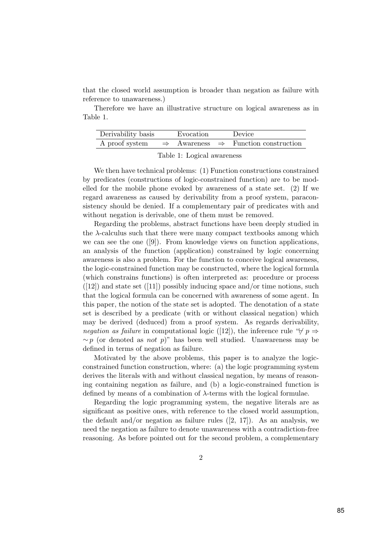that the closed world assumption is broader than negation as failure with reference to unawareness.)

Therefore we have an illustrative structure on logical awareness as in Table 1.

| Derivability basis | Evocation | Device                                                                     |
|--------------------|-----------|----------------------------------------------------------------------------|
|                    |           | A proof system $\Rightarrow$ Awareness $\Rightarrow$ Function construction |

Table 1: Logical awareness

We then have technical problems: (1) Function constructions constrained by predicates (constructions of logic-constrained function) are to be modelled for the mobile phone evoked by awareness of a state set. (2) If we regard awareness as caused by derivability from a proof system, paraconsistency should be denied. If a complementary pair of predicates with and without negation is derivable, one of them must be removed.

Regarding the problems, abstract functions have been deeply studied in the  $\lambda$ -calculus such that there were many compact textbooks among which we can see the one ([9]). From knowledge views on function applications, an analysis of the function (application) constrained by logic concerning awareness is also a problem. For the function to conceive logical awareness, the logic-constrained function may be constructed, where the logical formula (which constrains functions) is often interpreted as: procedure or process  $([12])$  and state set  $([11])$  possibly inducing space and/or time notions, such that the logical formula can be concerned with awareness of some agent. In this paper, the notion of the state set is adopted. The denotation of a state set is described by a predicate (with or without classical negation) which may be derived (deduced) from a proof system. As regards derivability, negation as failure in computational logic ([12]), the inference rule " $\not\vdash p \Rightarrow$  $~\sim p$  (or denoted as *not* p)" has been well studied. Unawareness may be defined in terms of negation as failure.

Motivated by the above problems, this paper is to analyze the logicconstrained function construction, where: (a) the logic programming system derives the literals with and without classical negation, by means of reasoning containing negation as failure, and (b) a logic-constrained function is defined by means of a combination of  $\lambda$ -terms with the logical formulae.

Regarding the logic programming system, the negative literals are as significant as positive ones, with reference to the closed world assumption, the default and/or negation as failure rules  $([2, 17])$ . As an analysis, we need the negation as failure to denote unawareness with a contradiction-free reasoning. As before pointed out for the second problem, a complementary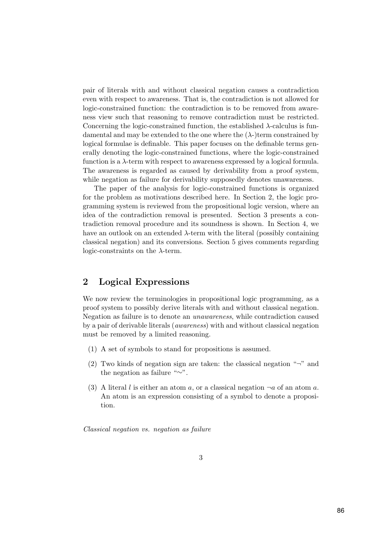pair of literals with and without classical negation causes a contradiction even with respect to awareness. That is, the contradiction is not allowed for logic-constrained function: the contradiction is to be removed from awareness view such that reasoning to remove contradiction must be restricted. Concerning the logic-constrained function, the established  $\lambda$ -calculus is fundamental and may be extended to the one where the  $(\lambda)$ -)term constrained by logical formulae is definable. This paper focuses on the definable terms generally denoting the logic-constrained functions, where the logic-constrained function is a  $\lambda$ -term with respect to awareness expressed by a logical formula. The awareness is regarded as caused by derivability from a proof system, while negation as failure for derivability supposedly denotes unawareness.

The paper of the analysis for logic-constrained functions is organized for the problem as motivations described here. In Section 2, the logic programming system is reviewed from the propositional logic version, where an idea of the contradiction removal is presented. Section 3 presents a contradiction removal procedure and its soundness is shown. In Section 4, we have an outlook on an extended  $\lambda$ -term with the literal (possibly containing classical negation) and its conversions. Section 5 gives comments regarding logic-constraints on the  $\lambda$ -term.

# 2 Logical Expressions

We now review the terminologies in propositional logic programming, as a proof system to possibly derive literals with and without classical negation. Negation as failure is to denote an unawareness, while contradiction caused by a pair of derivable literals (awareness) with and without classical negation must be removed by a limited reasoning.

- (1) A set of symbols to stand for propositions is assumed.
- (2) Two kinds of negation sign are taken: the classical negation " $\neg$ " and the negation as failure "∼".
- (3) A literal l is either an atom a, or a classical negation  $\neg a$  of an atom a. An atom is an expression consisting of a symbol to denote a proposition.

Classical negation vs. negation as failure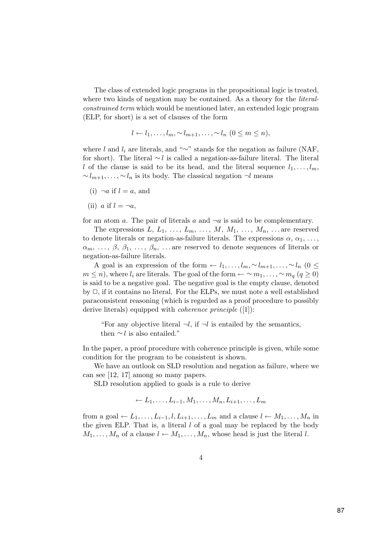The class of extended logic programs in the propositional logic is treated, where two kinds of negation may be contained. As a theory for the *literal*constrained term which would be mentioned later, an extended logic program (ELP, for short) is a set of clauses of the form

$$
l \leftarrow l_1, \ldots, l_m, \sim l_{m+1}, \ldots, \sim l_n \ (0 \leq m \leq n),
$$

where l and  $l_i$  are literals, and "∼" stands for the negation as failure (NAF, for short). The literal ∼l is called a negation-as-failure literal. The literal l of the clause is said to be its head, and the literal sequence  $l_1, \ldots, l_m$ ,  $\sim l_{m+1}, \ldots, \sim l_n$  is its body. The classical negation  $\neg l$  means

- (i)  $\neg a$  if  $l = a$ , and
- (ii) a if  $l = \neg a$ ,

for an atom a. The pair of literals a and  $\neg a$  is said to be complementary.

The expressions  $L, L_1, \ldots, L_m, \ldots, M, M_1, \ldots, M_n, \ldots$  are reserved to denote literals or negation-as-failure literals. The expressions  $\alpha, \alpha_1, \ldots,$  $\alpha_m, \ldots, \beta, \beta_1, \ldots, \beta_n, \ldots$  are reserved to denote sequences of literals or negation-as-failure literals.

A goal is an expression of the form  $\leftarrow l_1, \ldots, l_m, \sim l_{m+1}, \ldots, \sim l_n$  (0 ≤  $m \leq n$ , where  $l_i$  are literals. The goal of the form  $\leftarrow \sim m_1, \ldots, \sim m_q$  ( $q \geq 0$ ) is said to be a negative goal. The negative goal is the empty clause, denoted by  $\Box$ , if it contains no literal. For the ELPs, we must note a well established paraconsistent reasoning (which is regarded as a proof procedure to possibly derive literals) equipped with *coherence principle* ([1]):

"For any objective literal  $\neg l$ , if  $\neg l$  is entailed by the semantics, then  $\sim$  l is also entailed."

In the paper, a proof procedure with coherence principle is given, while some condition for the program to be consistent is shown.

We have an outlook on SLD resolution and negation as failure, where we can see [12, 17] among so many papers.

SLD resolution applied to goals is a rule to derive

$$
\leftarrow L_1, \ldots, L_{i-1}, M_1, \ldots, M_n, L_{i+1}, \ldots, L_m
$$

from a goal  $\leftarrow L_1, \ldots, L_{i-1}, l, L_{i+1}, \ldots, L_m$  and a clause  $l \leftarrow M_1, \ldots, M_n$  in the given ELP. That is, a literal  $l$  of a goal may be replaced by the body  $M_1, \ldots, M_n$  of a clause  $l \leftarrow M_1, \ldots, M_n$ , whose head is just the literal l.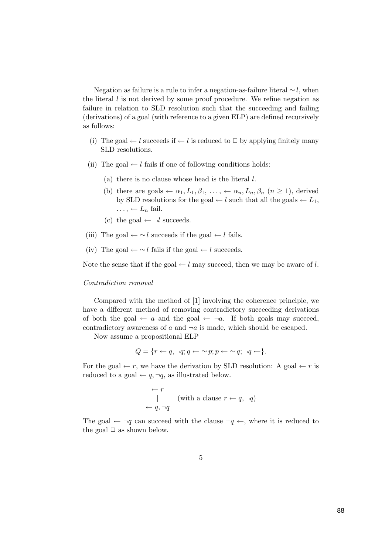Negation as failure is a rule to infer a negation-as-failure literal  $\sim$ l, when the literal  $l$  is not derived by some proof procedure. We refine negation as failure in relation to SLD resolution such that the succeeding and failing (derivations) of a goal (with reference to a given ELP) are defined recursively as follows:

- (i) The goal  $\leftarrow$  l succeeds if  $\leftarrow$  l is reduced to  $\Box$  by applying finitely many SLD resolutions.
- (ii) The goal  $\leftarrow$  l fails if one of following conditions holds:
	- (a) there is no clause whose head is the literal l.
	- (b) there are goals  $\leftarrow \alpha_1, L_1, \beta_1, \ldots, \leftarrow \alpha_n, L_n, \beta_n \ (n \geq 1)$ , derived by SLD resolutions for the goal  $\leftarrow$  l such that all the goals  $\leftarrow$  L<sub>1</sub>,  $\ldots, \leftarrow L_n$  fail.
	- (c) the goal  $\leftarrow \neg l$  succeeds.
- (iii) The goal  $\leftarrow \sim l$  succeeds if the goal  $\leftarrow l$  fails.
- (iv) The goal  $\leftarrow \sim l$  fails if the goal  $\leftarrow l$  succeeds.

Note the sense that if the goal  $\leftarrow$  l may succeed, then we may be aware of l.

#### Contradiction removal

Compared with the method of [1] involving the coherence principle, we have a different method of removing contradictory succeeding derivations of both the goal  $\leftarrow$  a and the goal  $\leftarrow$   $\neg a$ . If both goals may succeed, contradictory awareness of  $a$  and  $\neg a$  is made, which should be escaped.

Now assume a propositional ELP

$$
Q = \{r \leftarrow q, \neg q; q \leftarrow \sim p; p \leftarrow \sim q; \neg q \leftarrow\}.
$$

For the goal  $\leftarrow r$ , we have the derivation by SLD resolution: A goal  $\leftarrow r$  is reduced to a goal  $\leftarrow q, \neg q$ , as illustrated below.

$$
\begin{array}{c}\n\leftarrow r \\
\mid \\
\leftarrow q, \neg q\n\end{array}
$$
 (with a clause  $r \leftarrow q, \neg q$ )

The goal  $\leftarrow \neg q$  can succeed with the clause  $\neg q \leftarrow$ , where it is reduced to the goal  $\Box$  as shown below.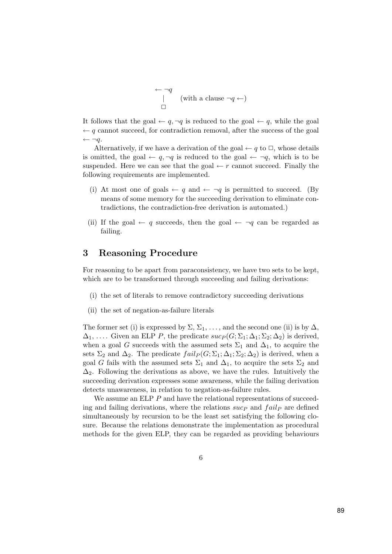$$
\begin{array}{c}\n\leftarrow \neg q \\
\mid \\
\Box\n\end{array}
$$
 (with a clause  $\neg q \leftarrow$ )

It follows that the goal  $\leftarrow q$ ,  $\neg q$  is reduced to the goal  $\leftarrow q$ , while the goal  $\leftarrow q$  cannot succeed, for contradiction removal, after the success of the goal  $\leftarrow \neg q$ .

Alternatively, if we have a derivation of the goal  $\leftarrow q$  to  $\Box$ , whose details is omitted, the goal  $\leftarrow q$ ,  $\neg q$  is reduced to the goal  $\leftarrow \neg q$ , which is to be suspended. Here we can see that the goal  $\leftarrow r$  cannot succeed. Finally the following requirements are implemented.

- (i) At most one of goals  $\leftarrow q$  and  $\leftarrow \neg q$  is permitted to succeed. (By means of some memory for the succeeding derivation to eliminate contradictions, the contradiction-free derivation is automated.)
- (ii) If the goal  $\leftarrow q$  succeeds, then the goal  $\leftarrow \neg q$  can be regarded as failing.

### 3 Reasoning Procedure

For reasoning to be apart from paraconsistency, we have two sets to be kept, which are to be transformed through succeeding and failing derivations:

- (i) the set of literals to remove contradictory succeeding derivations
- (ii) the set of negation-as-failure literals

The former set (i) is expressed by  $\Sigma$ ,  $\Sigma_1$ , ..., and the second one (ii) is by  $\Delta$ ,  $\Delta_1, \ldots$  Given an ELP P, the predicate  $suc_p(G; \Sigma_1; \Delta_1; \Sigma_2; \Delta_2)$  is derived, when a goal G succeeds with the assumed sets  $\Sigma_1$  and  $\Delta_1$ , to acquire the sets  $\Sigma_2$  and  $\Delta_2$ . The predicate  $fail_P(G;\Sigma_1;\Delta_1;\Sigma_2;\Delta_2)$  is derived, when a goal G fails with the assumed sets  $\Sigma_1$  and  $\Delta_1$ , to acquire the sets  $\Sigma_2$  and  $\Delta_2$ . Following the derivations as above, we have the rules. Intuitively the succeeding derivation expresses some awareness, while the failing derivation detects unawareness, in relation to negation-as-failure rules.

We assume an ELP P and have the relational representations of succeeding and failing derivations, where the relations  $suc_P$  and  $fail_P$  are defined simultaneously by recursion to be the least set satisfying the following closure. Because the relations demonstrate the implementation as procedural methods for the given ELP, they can be regarded as providing behaviours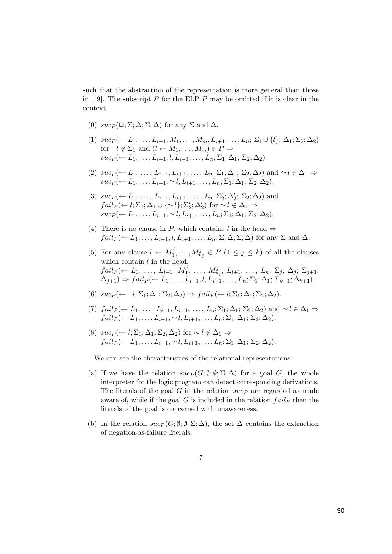such that the abstraction of the representation is more general than those in [19]. The subscript  $P$  for the ELP  $P$  may be omitted if it is clear in the context.

- (0)  $suc_P(\Box; \Sigma; \Delta; \Sigma; \Delta)$  for any  $\Sigma$  and  $\Delta$ .
- (1)  $suc_1 \leftarrow L_1, \ldots, L_{i-1}, M_1, \ldots, M_m, L_{i+1}, \ldots, L_n; \Sigma_1 \cup \{l\}; \Delta_1; \Sigma_2; \Delta_2)$ for  $\neg l \notin \Sigma_1$  and  $(l \leftarrow M_1, \ldots, M_m) \in P \Rightarrow$  $suc_P (\leftarrow L_1, \ldots, L_{i-1}, l, L_{i+1}, \ldots, L_n; \Sigma_1; \Delta_1; \Sigma_2; \Delta_2).$
- (2)  $suc_P (\leftarrow L_1, \ldots, L_{i-1}, L_{i+1}, \ldots, L_n; \Sigma_1; \Delta_1; \Sigma_2; \Delta_2)$  and  $\sim l \in \Delta_1 \Rightarrow$  $suc_P (\leftarrow L_1, \ldots, L_{i-1}, \sim l, L_{i+1}, \ldots, L_n; \Sigma_1; \Delta_1; \Sigma_2; \Delta_2).$
- (3)  $suc_1 \leftarrow L_1, \ldots, L_{i-1}, L_{i+1}, \ldots, L_n; \Sigma'_2; \Delta'_2; \Sigma_2; \Delta_2)$  and  $fail_P(\leftarrow l; \Sigma_1; \Delta_1 \cup \{\sim l\}; \Sigma_2'; \Delta_2') \text{ for } \sim l \notin \Delta_1 \Rightarrow$  $suc_P (\leftarrow L_1, \ldots, L_{i-1}, \sim l, L_{i+1}, \ldots, L_n; \Sigma_1; \Delta_1; \Sigma_2; \Delta_2).$
- (4) There is no clause in P, which contains l in the head  $\Rightarrow$  $fail_P(\leftarrow L_1, \ldots, L_{i-1}, l, L_{i+1}, \ldots, L_n; \Sigma; \Delta; \Sigma; \Delta)$  for any  $\Sigma$  and  $\Delta$ .
- (5) For any clause  $l \leftarrow M_1^j, \ldots, M_{n_j}^j \in P$   $(1 \leq j \leq k)$  of all the clauses which contain  $l$  in the head,  $fail_P(\leftarrow L_1, \ldots, L_{i-1}, M_1^j, \ldots, M_{n_j}^j, L_{i+1}, \ldots, L_n; \Sigma_j; \Delta_j; \Sigma_{j+1};$  $(\Delta_{i+1}) \Rightarrow fail_P(\leftarrow L_1,\ldots,L_{i-1},l,L_{i+1},\ldots,L_n;\Sigma_1;\Delta_1;\Sigma_{k+1};\Delta_{k+1}).$
- (6)  $suc_1(\leftarrow \neg l; \Sigma_1; \Delta_1; \Sigma_2; \Delta_2) \Rightarrow fail_1(\leftarrow l; \Sigma_1; \Delta_1; \Sigma_2; \Delta_2).$
- (7)  $fail_P(\leftarrow L_1, \ldots, L_{i-1}, L_{i+1}, \ldots, L_n; \Sigma_1; \Delta_1; \Sigma_2; \Delta_2)$  and  $\sim l \in \Delta_1 \Rightarrow$  $fail_P(\leftarrow L_1,\ldots,L_{i-1},\sim l,L_{i+1},\ldots,L_n;\Sigma_1;\Delta_1;\Sigma_2;\Delta_2).$
- (8)  $suc_P(\leftarrow l; \Sigma_1; \Delta_1; \Sigma_2; \Delta_2)$  for  $\sim l \notin \Delta_1$  ⇒  $fail_P (\leftarrow L_1, \ldots, L_{i-1}, \sim l, L_{i+1}, \ldots, L_n; \Sigma_1; \Delta_1; \Sigma_2; \Delta_2).$

We can see the characteristics of the relational representations:

- (a) If we have the relation  $suc_P(G; \emptyset; \emptyset; \Sigma; \Delta)$  for a goal G, the whole interpreter for the logic program can detect corresponding derivations. The literals of the goal  $G$  in the relation  $suc<sub>P</sub>$  are regarded as made aware of, while if the goal G is included in the relation  $fail_P$  then the literals of the goal is concerned with unawareness.
- (b) In the relation  $sucp(G; \emptyset; \emptyset; \Sigma; \Delta)$ , the set  $\Delta$  contains the extraction of negation-as-failure literals.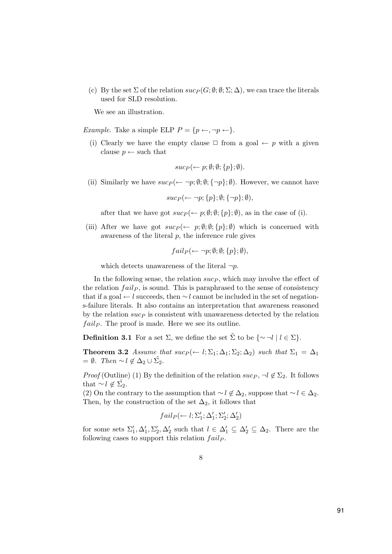(c) By the set  $\Sigma$  of the relation  $succ(P; \emptyset; \Sigma; \Delta)$ , we can trace the literals used for SLD resolution.

We see an illustration.

*Example.* Take a simple ELP  $P = \{p \leftarrow, \neg p \leftarrow\}.$ 

(i) Clearly we have the empty clause  $\Box$  from a goal  $\leftarrow p$  with a given clause  $p \leftarrow$  such that

$$
suc_P(\leftarrow p; \emptyset; \emptyset; \{p\}; \emptyset).
$$

(ii) Similarly we have  $suc_P(\leftarrow \neg p;\emptyset;\emptyset; \{\neg p\};\emptyset)$ . However, we cannot have

$$
suc_P(\leftarrow \neg p; \{p\}; \emptyset; \{\neg p\}; \emptyset),
$$

after that we have got  $suc_P (\leftarrow p; \emptyset; \emptyset; \{p\}; \emptyset)$ , as in the case of (i).

(iii) After we have got  $suc_P (\leftarrow p; \emptyset; \emptyset; \{p\}; \emptyset)$  which is concerned with awareness of the literal  $p$ , the inference rule gives

$$
fail_P(\leftarrow \neg p; \emptyset; \emptyset; \{p\}; \emptyset),
$$

which detects unawareness of the literal  $\neg p$ .

In the following sense, the relation  $succ$ , which may involve the effect of the relation  $fail_P$ , is sound. This is paraphrased to the sense of consistency that if a goal ← l succeeds, then ∼ l cannot be included in the set of negations-failure literals. It also contains an interpretation that awareness reasoned by the relation  $\sup$  is consistent with unawareness detected by the relation  $fail_P$ . The proof is made. Here we see its outline.

**Definition 3.1** For a set  $\Sigma$ , we define the set  $\tilde{\Sigma}$  to be  $\{\sim \neg l \mid l \in \Sigma\}$ .

**Theorem 3.2** Assume that  $suc_P (-l; \Sigma_1; \Delta_1; \Sigma_2; \Delta_2)$  such that  $\Sigma_1 = \Delta_1$  $= \emptyset$ . Then ∼  $l \notin \Delta_2 \cup \tilde{\Sigma_2}$ .

*Proof* (Outline) (1) By the definition of the relation  $suc_P$ ,  $\neg l \notin \Sigma_2$ . It follows that  $\sim l \notin \tilde{\Sigma_2}$ .

(2) On the contrary to the assumption that  $\sim l \notin \Delta_2$ , suppose that  $\sim l \in \Delta_2$ . Then, by the construction of the set  $\Delta_2$ , it follows that

$$
fail_P(\leftarrow l;\Sigma_1';\Delta_1';\Sigma_2';\Delta_2')
$$

for some sets  $\Sigma'_1, \Delta'_1, \Sigma'_2, \Delta'_2$  such that  $l \in \Delta'_1 \subseteq \Delta'_2 \subseteq \Delta_2$ . There are the following cases to support this relation  $fail_P$ .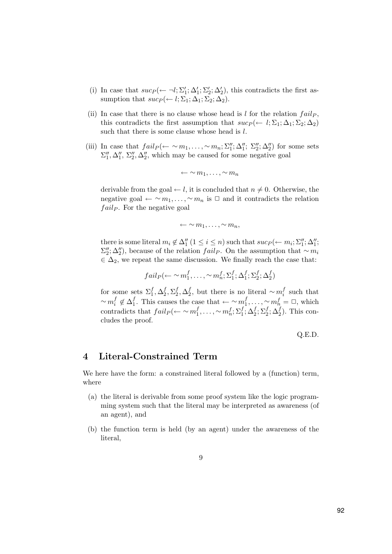- (i) In case that  $suc_P(\leftarrow \neg l; \Sigma_1'; \Delta_1'; \Sigma_2'; \Delta_2')$ , this contradicts the first assumption that  $suc_P \leftarrow l; \Sigma_1; \Delta_1; \Sigma_2; \Delta_2$ .
- (ii) In case that there is no clause whose head is  $l$  for the relation  $fail_P$ , this contradicts the first assumption that  $suc_1(\leftarrow l; \Sigma_1; \Delta_1; \Sigma_2; \Delta_2)$ such that there is some clause whose head is l.
- (iii) In case that  $fail_P(\leftarrow \sim m_1, \ldots, \sim m_n; \Sigma_1''; \Delta_1''; \Sigma_2''; \Delta_2'')$  for some sets  $\Sigma_1'', \Delta_1'', \Sigma_2'', \Delta_2'',$  which may be caused for some negative goal

$$
\leftarrow \sim m_1, \ldots, \sim m_n
$$

derivable from the goal  $\leftarrow$  *l*, it is concluded that  $n \neq 0$ . Otherwise, the negative goal  $\leftarrow \sim m_1, \ldots, \sim m_n$  is  $\Box$  and it contradicts the relation  $fail_P$ . For the negative goal

$$
\leftarrow \sim m_1, \ldots, \sim m_n,
$$

there is some literal  $m_i \notin \Delta_1''$   $(1 \leq i \leq n)$  such that  $suc_p(\leftarrow m_i; \Sigma_1''; \Delta_1'';$  $\Sigma_2''$ ;  $\Delta_2''$ ), because of the relation fail<sub>P</sub>. On the assumption that ∼ m<sub>i</sub>  $\in \Delta_2$ , we repeat the same discussion. We finally reach the case that:

$$
fail_P(\leftarrow \sim m_1^f, \ldots, \sim m_n^f; \Sigma_1^f; \Delta_1^f; \Sigma_2^f; \Delta_2^f)
$$

for some sets  $\Sigma_1^f, \Delta_2^f, \Sigma_2^f, \Delta_2^f$ , but there is no literal  $\sim m_i^f$  such that  $\sim m_i^f \notin \Delta_1^f$ . This causes the case that  $\leftarrow \sim m_1^f, \ldots, \sim m_n^f = \Box$ , which contradicts that  $fail_P(\leftarrow \sim m_1^f, \ldots, \sim m_n^f; \Sigma_1^f; \Delta_2^f; \Sigma_2^f; \Delta_2^f)$ . This concludes the proof.

Q.E.D.

# 4 Literal-Constrained Term

We here have the form: a constrained literal followed by a (function) term, where

- (a) the literal is derivable from some proof system like the logic programming system such that the literal may be interpreted as awareness (of an agent), and
- (b) the function term is held (by an agent) under the awareness of the literal,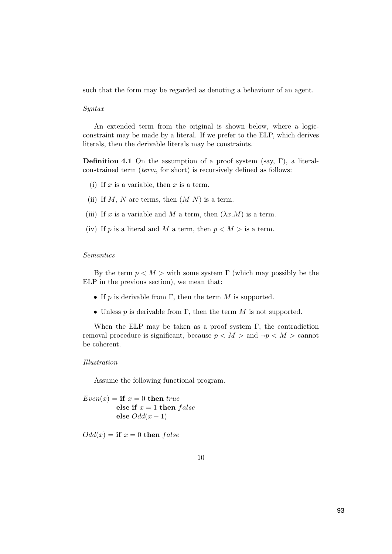such that the form may be regarded as denoting a behaviour of an agent.

#### Syntax

An extended term from the original is shown below, where a logicconstraint may be made by a literal. If we prefer to the ELP, which derives literals, then the derivable literals may be constraints.

Definition 4.1 On the assumption of a proof system (say, Γ), a literalconstrained term (term, for short) is recursively defined as follows:

- (i) If x is a variable, then x is a term.
- (ii) If M, N are terms, then  $(M N)$  is a term.
- (iii) If x is a variable and M a term, then  $(\lambda x.M)$  is a term.
- (iv) If p is a literal and M a term, then  $p < M >$  is a term.

#### Semantics

By the term  $p < M$  > with some system Γ (which may possibly be the ELP in the previous section), we mean that:

- If p is derivable from  $\Gamma$ , then the term M is supported.
- Unless p is derivable from  $\Gamma$ , then the term M is not supported.

When the ELP may be taken as a proof system  $\Gamma$ , the contradiction removal procedure is significant, because  $p < M >$  and  $\neg p < M >$  cannot be coherent.

#### Illustration

Assume the following functional program.

 $Even(x) = \textbf{if } x = 0 \textbf{ then } true$ else if  $x = 1$  then false else  $Odd(x-1)$ 

 $Odd(x) = if x = 0 then false$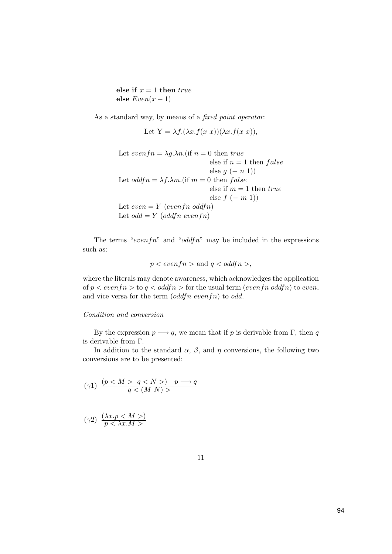else if  $x = 1$  then  $true$ else  $Even(x-1)$ 

As a standard way, by means of a *fixed point operator*:

Let  $Y = \lambda f.(\lambda x.f(x x))(\lambda x.f(x x)),$ 

Let  $evenfn = \lambda g.\lambda n.$  (if  $n = 0$  then true else if  $n = 1$  then  $false$ else  $q(-n\ 1)$ Let  $oddfn = \lambda f.\lambda m.$  (if  $m = 0$  then  $false$ else if  $m = 1$  then  $true$ else  $f(-m 1)$ Let  $even = Y (evenfn oddfn)$ Let  $odd = Y$  (oddfn evenfn)

The terms "evenfn" and "oddfn" may be included in the expressions such as:

$$
p < \text{even} \, f \, n > \, \text{and} \, q < \text{odd} \, f \, n > \, ,
$$

where the literals may denote awareness, which acknowledges the application of  $p < even f n >$  to  $q < odd f n >$  for the usual term (even fn oddfn) to even, and vice versa for the term  $(oddfn\; evenfn)$  to odd.

#### Condition and conversion

By the expression  $p \longrightarrow q$ , we mean that if p is derivable from Γ, then q is derivable from Γ.

In addition to the standard  $\alpha$ ,  $\beta$ , and  $\eta$  conversions, the following two conversions are to be presented:

$$
(\gamma 1) \ \frac{(pq)}{q<(M\ N)>}\ \hspace{-.3cm} p\longrightarrow q
$$

$$
(\gamma 2) \frac{(\lambda x. p < M >)}{p < \lambda x. M>}
$$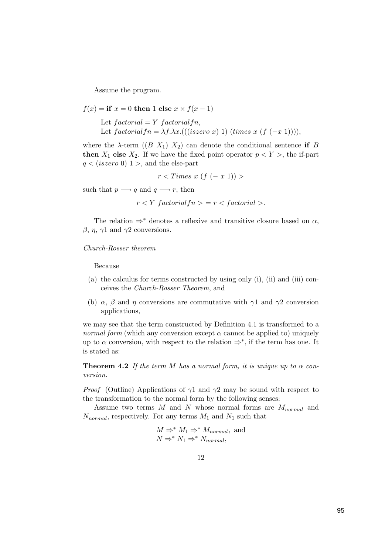Assume the program.

 $f(x) =$  if  $x = 0$  then 1 else  $x \times f(x - 1)$ Let  $factorial = Y$   $factorialfn$ , Let  $factorialfn = \lambda f.\lambda x.(((iszero \ x) \ 1) \ (times \ x \ (f \ (-x \ 1))))$ ,

where the  $\lambda$ -term  $((B X_1) X_2)$  can denote the conditional sentence if B then  $X_1$  else  $X_2$ . If we have the fixed point operator  $p < Y >$ , the if-part  $q < (iszero 0)$  1 >, and the else-part

$$
r < Times \; x \; (f \; (- \; x \; 1)) > \\
$$

such that  $p \longrightarrow q$  and  $q \longrightarrow r$ , then

 $r < Y$  factorial  $fn > r <$  factorial >.

The relation  $\Rightarrow^*$  denotes a reflexive and transitive closure based on  $\alpha$ ,  $β, η, γ1$  and  $γ2$  conversions.

Church-Rosser theorem

Because

- (a) the calculus for terms constructed by using only (i), (ii) and (iii) conceives the Church-Rosser Theorem, and
- (b)  $\alpha$ ,  $\beta$  and  $\eta$  conversions are commutative with  $\gamma$ 1 and  $\gamma$ 2 conversion applications,

we may see that the term constructed by Definition 4.1 is transformed to a *normal form* (which any conversion except  $\alpha$  cannot be applied to) uniquely up to  $\alpha$  conversion, with respect to the relation  $\Rightarrow^*$ , if the term has one. It is stated as:

**Theorem 4.2** If the term M has a normal form, it is unique up to  $\alpha$  conversion.

*Proof* (Outline) Applications of  $\gamma$ 1 and  $\gamma$ 2 may be sound with respect to the transformation to the normal form by the following senses:

Assume two terms  $M$  and  $N$  whose normal forms are  $M_{normal}$  and  $N_{normal}$ , respectively. For any terms  $M_1$  and  $N_1$  such that

$$
M \Rightarrow^* M_1 \Rightarrow^* M_{normal}, \text{ and}
$$
  

$$
N \Rightarrow^* N_1 \Rightarrow^* N_{normal},
$$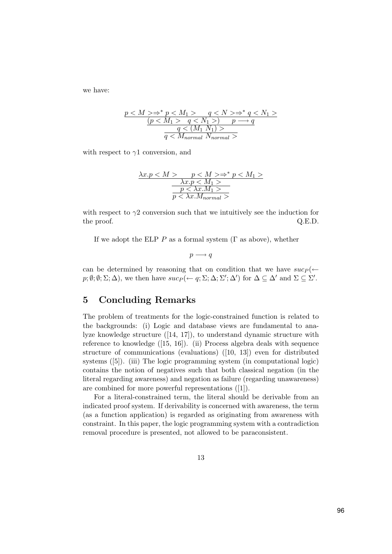we have:

$$
\frac{p < M > \Rightarrow^* p < M_1 > \quad q < N > \Rightarrow^* q < N_1 >}{\underline{(p < M_1 > \quad q < N_1 >) \quad p \longrightarrow q}}{\underline{q < (M_1 \ N_1) >}} \newline \frac{q < (M_1 \ N_1) >}{\textcolor{blue}{q < M_{normal} \ N_{normal}}} \newline \newline \textcolor{blue}{\sum_{i=1}^{n} \frac{1}{\textcolor{blue}{q \rightarrow M_{normal} \ N}}}
$$

with respect to  $\gamma$ 1 conversion, and

$$
\frac{\lambda x.p < M >} \frac{p < M> \Rightarrow^* p < M_1 >}{\lambda x.p < M_1 >} \frac{\lambda x.p < M_1 >}{p < \lambda x.M_1 >}
$$

with respect to  $\gamma$ 2 conversion such that we intuitively see the induction for the proof.  $Q.E.D.$ 

If we adopt the ELP P as a formal system  $(\Gamma \text{ as above})$ , whether

 $p \longrightarrow q$ 

can be determined by reasoning that on condition that we have  $suc_P(\leftarrow)$  $p; \emptyset; \emptyset; \Sigma; \Delta)$ , we then have  $suc_P(\leftarrow q; \Sigma; \Delta; \Sigma'; \Delta')$  for  $\Delta \subseteq \Delta'$  and  $\Sigma \subseteq \Sigma'$ .

# 5 Concluding Remarks

The problem of treatments for the logic-constrained function is related to the backgrounds: (i) Logic and database views are fundamental to analyze knowledge structure ([14, 17]), to understand dynamic structure with reference to knowledge ([15, 16]). (ii) Process algebra deals with sequence structure of communications (evaluations) ([10, 13]) even for distributed systems ([5]). (iii) The logic programming system (in computational logic) contains the notion of negatives such that both classical negation (in the literal regarding awareness) and negation as failure (regarding unawareness) are combined for more powerful representations ([1]).

For a literal-constrained term, the literal should be derivable from an indicated proof system. If derivability is concerned with awareness, the term (as a function application) is regarded as originating from awareness with constraint. In this paper, the logic programming system with a contradiction removal procedure is presented, not allowed to be paraconsistent.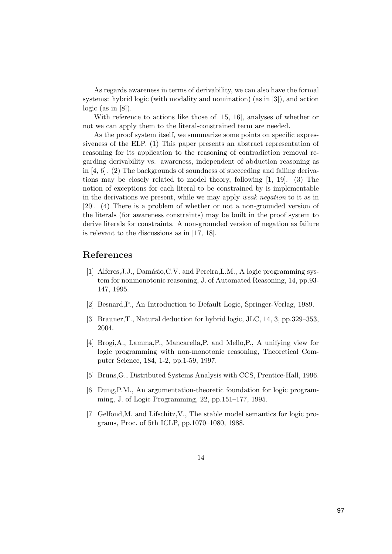As regards awareness in terms of derivability, we can also have the formal systems: hybrid logic (with modality and nomination) (as in [3]), and action  $logic$  (as in [8]).

With reference to actions like those of [15, 16], analyses of whether or not we can apply them to the literal-constrained term are needed.

As the proof system itself, we summarize some points on specific expressiveness of the ELP. (1) This paper presents an abstract representation of reasoning for its application to the reasoning of contradiction removal regarding derivability vs. awareness, independent of abduction reasoning as in [4, 6]. (2) The backgrounds of soundness of succeeding and failing derivations may be closely related to model theory, following [1, 19]. (3) The notion of exceptions for each literal to be constrained by is implementable in the derivations we present, while we may apply weak negation to it as in [20]. (4) There is a problem of whether or not a non-grounded version of the literals (for awareness constraints) may be built in the proof system to derive literals for constraints. A non-grounded version of negation as failure is relevant to the discussions as in [17, 18].

### References

- [1] Alferes, J.J., Damásio, C.V. and Pereira, L.M., A logic programming system for nonmonotonic reasoning, J. of Automated Reasoning, 14, pp.93- 147, 1995.
- [2] Besnard,P., An Introduction to Default Logic, Springer-Verlag, 1989.
- [3] Brauner,T., Natural deduction for hybrid logic, JLC, 14, 3, pp.329–353, 2004.
- [4] Brogi,A., Lamma,P., Mancarella,P. and Mello,P., A unifying view for logic programming with non-monotonic reasoning, Theoretical Computer Science, 184, 1-2, pp.1-59, 1997.
- [5] Bruns,G., Distributed Systems Analysis with CCS, Prentice-Hall, 1996.
- [6] Dung,P.M., An argumentation-theoretic foundation for logic programming, J. of Logic Programming, 22, pp.151–177, 1995.
- [7] Gelfond,M. and Lifschitz,V., The stable model semantics for logic programs, Proc. of 5th ICLP, pp.1070–1080, 1988.